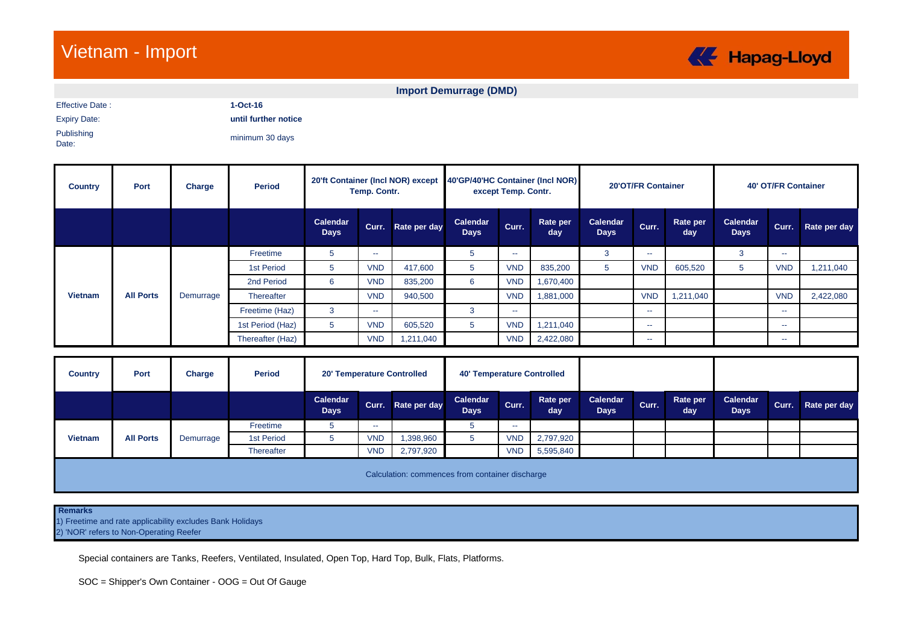## Vietnam - Import



## **Import Demurrage (DMD)**

Effective Date : **1-Oct-16**

Expiry Date: **until further notice**

Publishing Date:

minimum 30 days

| <b>Country</b> | Port             | Charge    | <b>Period</b>    | 20'ft Container (Incl NOR) except<br>Temp. Contr. |               |              | 40'GP/40'HC Container (Incl NOR)<br>except Temp. Contr. |            |                 | 20'OT/FR Container      |                          |                 | <b>40' OT/FR Container</b>     |            |              |
|----------------|------------------|-----------|------------------|---------------------------------------------------|---------------|--------------|---------------------------------------------------------|------------|-----------------|-------------------------|--------------------------|-----------------|--------------------------------|------------|--------------|
|                |                  |           |                  | Calendar<br><b>Days</b>                           | Curr.         | Rate per day | Calendar<br><b>Days</b>                                 | Curr.      | Rate per<br>day | Calendar<br><b>Days</b> | Curr.                    | Rate per<br>day | <b>Calendar</b><br><b>Days</b> | Curr.      | Rate per day |
|                |                  |           | Freetime         | 5                                                 | --            |              | 5                                                       | --         |                 | 3                       | $\sim$                   |                 | 3                              | --         |              |
|                |                  |           | 1st Period       | b                                                 | <b>VND</b>    | 417,600      |                                                         | <b>VND</b> | 835,200         | 5                       | <b>VND</b>               | 605,520         | 5                              | <b>VND</b> | 1,211,040    |
|                |                  |           | 2nd Period       | 6                                                 | <b>VND</b>    | 835,200      | 6                                                       | <b>VND</b> | 1,670,400       |                         |                          |                 |                                |            |              |
| <b>Vietnam</b> | <b>All Ports</b> | Demurrage | Thereafter       |                                                   | <b>VND</b>    | 940,500      |                                                         | <b>VND</b> | 1,881,000       |                         | <b>VND</b>               | 1,211,040       |                                | <b>VND</b> | 2,422,080    |
|                |                  |           | Freetime (Haz)   | 3                                                 | $\sim$ $\sim$ |              | 3                                                       | $- -$      |                 |                         | $\overline{\phantom{a}}$ |                 |                                | --         |              |
|                |                  |           | 1st Period (Haz) | 5.                                                | <b>VND</b>    | 605,520      | 5                                                       | <b>VND</b> | 1,211,040       |                         | $\sim$                   |                 |                                | --         |              |
|                |                  |           | Thereafter (Haz) |                                                   | <b>VND</b>    | 1,211,040    |                                                         | <b>VND</b> | 2,422,080       |                         | --                       |                 |                                | $- -$      |              |

| <b>Country</b> | Port                                            | Charge    | <b>Period</b> | 20' Temperature Controlled |               |              | <b>40' Temperature Controlled</b> |            |                 |                         |       |                 |                         |       |              |
|----------------|-------------------------------------------------|-----------|---------------|----------------------------|---------------|--------------|-----------------------------------|------------|-----------------|-------------------------|-------|-----------------|-------------------------|-------|--------------|
|                |                                                 |           |               | Calendar<br><b>Days</b>    | Curr.         | Rate per day | Calendar<br><b>Days</b>           | Curr.      | Rate per<br>day | Calendar<br><b>Days</b> | Curr. | Rate per<br>day | Calendar<br><b>Days</b> | Curr. | Rate per day |
|                |                                                 |           | Freetime      |                            | $\sim$ $\sim$ |              |                                   | --         |                 |                         |       |                 |                         |       |              |
| <b>Vietnam</b> | <b>All Ports</b>                                | Demurrage | 1st Period    |                            | <b>VND</b>    | ,398,960     |                                   | <b>VND</b> | 2,797,920       |                         |       |                 |                         |       |              |
|                |                                                 |           | Thereafter    |                            | <b>VND</b>    | 2,797,920    |                                   | <b>VND</b> | 5,595,840       |                         |       |                 |                         |       |              |
|                | Calculation: commences from container discharge |           |               |                            |               |              |                                   |            |                 |                         |       |                 |                         |       |              |

 **Remarks**

1) Freetime and rate applicability excludes Bank Holidays 2) 'NOR' refers to Non-Operating Reefer

Special containers are Tanks, Reefers, Ventilated, Insulated, Open Top, Hard Top, Bulk, Flats, Platforms.

SOC = Shipper's Own Container - OOG = Out Of Gauge